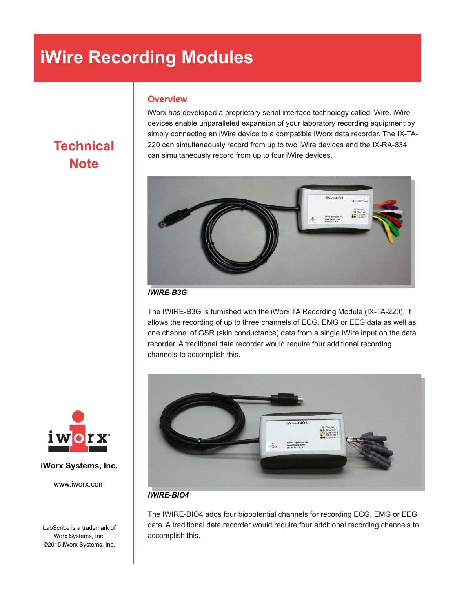# **iWire Recording Modules**

## **Overview**

iWorx has developed a proprietary serial interface technology called iWire. iWire devices enable unparalleled expansion of your laboratory recording equipment by simply connecting an iWire device to a compatible iWorx data recorder. The IX-TA-220 can simultaneously record from up to two iWire devices and the IX-RA-834 can simultaneously record from up to four iWire devices.



### *IWIRE-B3G*

The IWIRE-B3G is furnished with the iWorx TA Recording Module (IX-TA-220). It allows the recording of up to three channels of ECG, EMG or EEG data as well as one channel of GSR (skin conductance) data from a single iWire input on the data recorder. A traditional data recorder would require four additional recording channels to accomplish this.



### *IWIRE-BIO4*

The IWIRE-BIO4 adds four biopotential channels for recording ECG, EMG or EEG data. A traditional data recorder would require four additional recording channels to accomplish this.



**Technical**



#### **iWorx Systems, Inc.**

www.iworx.com

LabScribe is a trademark of iWorx Systems, Inc. ©2015 iWorx Systems, Inc.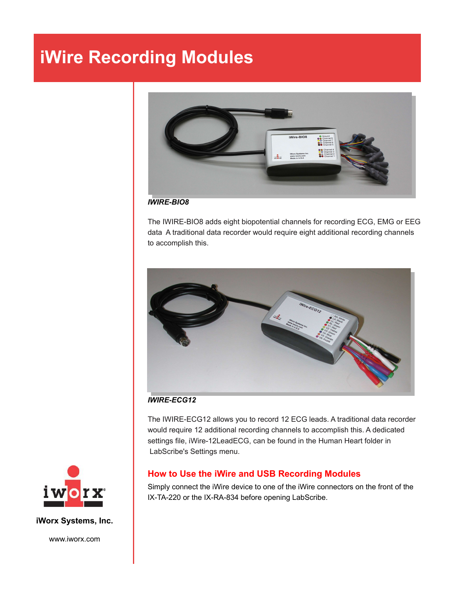## **iWire Recording Modules**



#### *IWIRE-BIO8*

The IWIRE-BIO8 adds eight biopotential channels for recording ECG, EMG or EEG data A traditional data recorder would require eight additional recording channels to accomplish this.



#### *IWIRE-ECG12*

The IWIRE-ECG12 allows you to record 12 ECG leads. A traditional data recorder would require 12 additional recording channels to accomplish this. A dedicated settings file, iWire-12LeadECG, can be found in the Human Heart folder in LabScribe's Settings menu.

## **How to Use the iWire and USB Recording Modules**

Simply connect the iWire device to one of the iWire connectors on the front of the IX-TA-220 or the IX-RA-834 before opening LabScribe.



**iWorx Systems, Inc.**

www.iworx.com